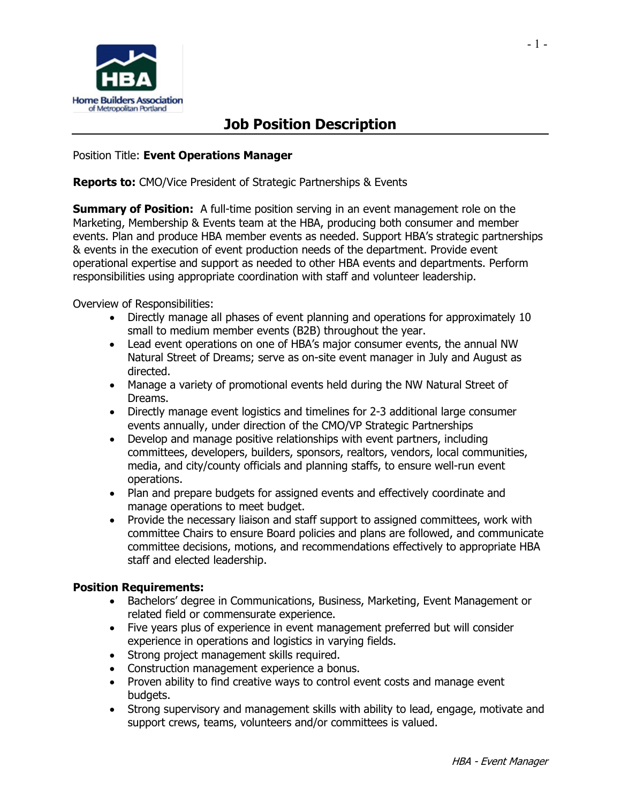

## **Job Position Description**

Position Title: **Event Operations Manager**

**Reports to:** CMO/Vice President of Strategic Partnerships & Events

**Summary of Position:** A full-time position serving in an event management role on the Marketing, Membership & Events team at the HBA, producing both consumer and member events. Plan and produce HBA member events as needed. Support HBA's strategic partnerships & events in the execution of event production needs of the department. Provide event operational expertise and support as needed to other HBA events and departments. Perform responsibilities using appropriate coordination with staff and volunteer leadership.

Overview of Responsibilities:

- Directly manage all phases of event planning and operations for approximately 10 small to medium member events (B2B) throughout the year.
- Lead event operations on one of HBA's major consumer events, the annual NW Natural Street of Dreams; serve as on-site event manager in July and August as directed.
- Manage a variety of promotional events held during the NW Natural Street of Dreams.
- Directly manage event logistics and timelines for 2-3 additional large consumer events annually, under direction of the CMO/VP Strategic Partnerships
- Develop and manage positive relationships with event partners, including committees, developers, builders, sponsors, realtors, vendors, local communities, media, and city/county officials and planning staffs, to ensure well-run event operations.
- Plan and prepare budgets for assigned events and effectively coordinate and manage operations to meet budget.
- Provide the necessary liaison and staff support to assigned committees, work with committee Chairs to ensure Board policies and plans are followed, and communicate committee decisions, motions, and recommendations effectively to appropriate HBA staff and elected leadership.

## **Position Requirements:**

- Bachelors' degree in Communications, Business, Marketing, Event Management or related field or commensurate experience.
- Five years plus of experience in event management preferred but will consider experience in operations and logistics in varying fields.
- Strong project management skills required.
- Construction management experience a bonus.
- Proven ability to find creative ways to control event costs and manage event budgets.
- Strong supervisory and management skills with ability to lead, engage, motivate and support crews, teams, volunteers and/or committees is valued.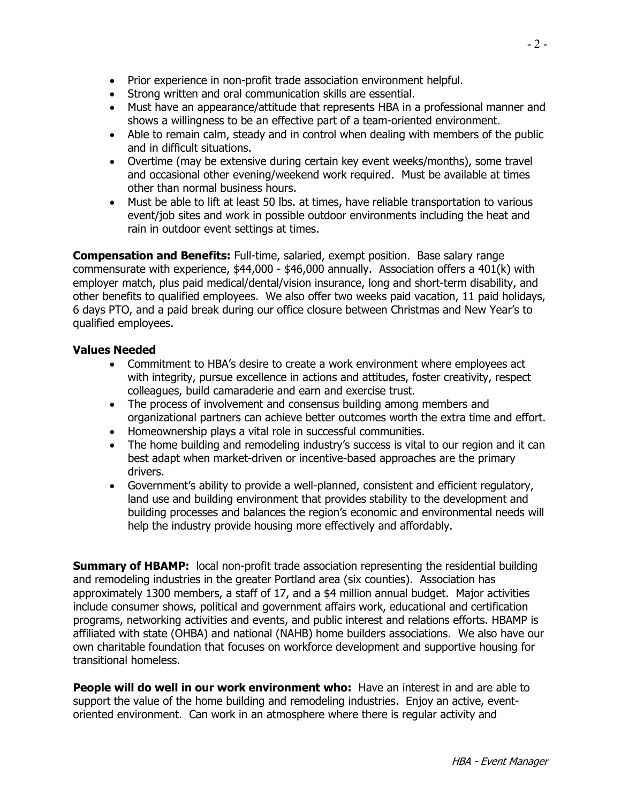- Prior experience in non-profit trade association environment helpful.
- Strong written and oral communication skills are essential.
- Must have an appearance/attitude that represents HBA in a professional manner and shows a willingness to be an effective part of a team-oriented environment.
- Able to remain calm, steady and in control when dealing with members of the public and in difficult situations.
- Overtime (may be extensive during certain key event weeks/months), some travel and occasional other evening/weekend work required. Must be available at times other than normal business hours.
- Must be able to lift at least 50 lbs. at times, have reliable transportation to various event/job sites and work in possible outdoor environments including the heat and rain in outdoor event settings at times.

**Compensation and Benefits:** Full-time, salaried, exempt position. Base salary range commensurate with experience, \$44,000 - \$46,000 annually. Association offers a 401(k) with employer match, plus paid medical/dental/vision insurance, long and short-term disability, and other benefits to qualified employees. We also offer two weeks paid vacation, 11 paid holidays, 6 days PTO, and a paid break during our office closure between Christmas and New Year's to qualified employees.

## **Values Needed**

- Commitment to HBA's desire to create a work environment where employees act with integrity, pursue excellence in actions and attitudes, foster creativity, respect colleagues, build camaraderie and earn and exercise trust.
- The process of involvement and consensus building among members and organizational partners can achieve better outcomes worth the extra time and effort.
- Homeownership plays a vital role in successful communities.
- The home building and remodeling industry's success is vital to our region and it can best adapt when market-driven or incentive-based approaches are the primary drivers.
- Government's ability to provide a well-planned, consistent and efficient regulatory, land use and building environment that provides stability to the development and building processes and balances the region's economic and environmental needs will help the industry provide housing more effectively and affordably.

**Summary of HBAMP:** local non-profit trade association representing the residential building and remodeling industries in the greater Portland area (six counties). Association has approximately 1300 members, a staff of 17, and a \$4 million annual budget. Major activities include consumer shows, political and government affairs work, educational and certification programs, networking activities and events, and public interest and relations efforts. HBAMP is affiliated with state (OHBA) and national (NAHB) home builders associations. We also have our own charitable foundation that focuses on workforce development and supportive housing for transitional homeless.

**People will do well in our work environment who:** Have an interest in and are able to support the value of the home building and remodeling industries. Enjoy an active, eventoriented environment. Can work in an atmosphere where there is regular activity and